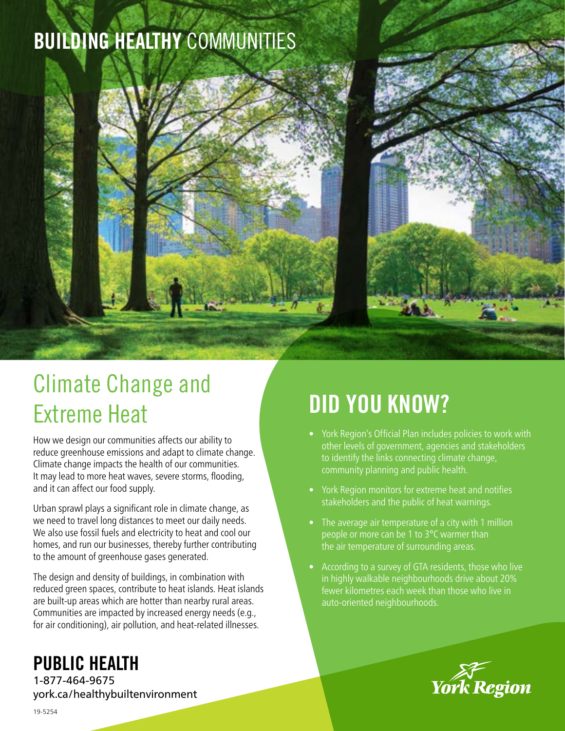# BUILDING HEALTHY COMMUNITIES

# Climate Change and Extreme Heat

How we design our communities affects our ability to reduce greenhouse emissions and adapt to climate change. Climate change impacts the health of our communities. It may lead to more heat waves, severe storms, flooding, and it can affect our food supply.

Urban sprawl plays a significant role in climate change, as we need to travel long distances to meet our daily needs. We also use fossil fuels and electricity to heat and cool our homes, and run our businesses, thereby further contributing to the amount of greenhouse gases generated.

The design and density of buildings, in combination with reduced green spaces, contribute to heat islands. Heat islands are built-up areas which are hotter than nearby rural areas. Communities are impacted by increased energy needs (e.g., for air conditioning), air pollution, and heat-related illnesses.

# DID YOU KNOW?

- York Region's Official Plan includes policies to work with other levels of government, agencies and stakeholders to identify the links connecting climate change, community planning and public health.
- York Region monitors for extreme heat and notifies stakeholders and the public of heat warnings.
- The average air temperature of a city with 1 million people or more can be 1 to 3°C warmer than the air temperature of surrounding areas.
- According to a survey of GTA residents, those who live in highly walkable neighbourhoods drive about 20% fewer kilometres each week than those who live in auto-oriented neighbourhoods.



## PUBLIC HEALTH

1-877-464-9675 york.ca/healthybuiltenvironment